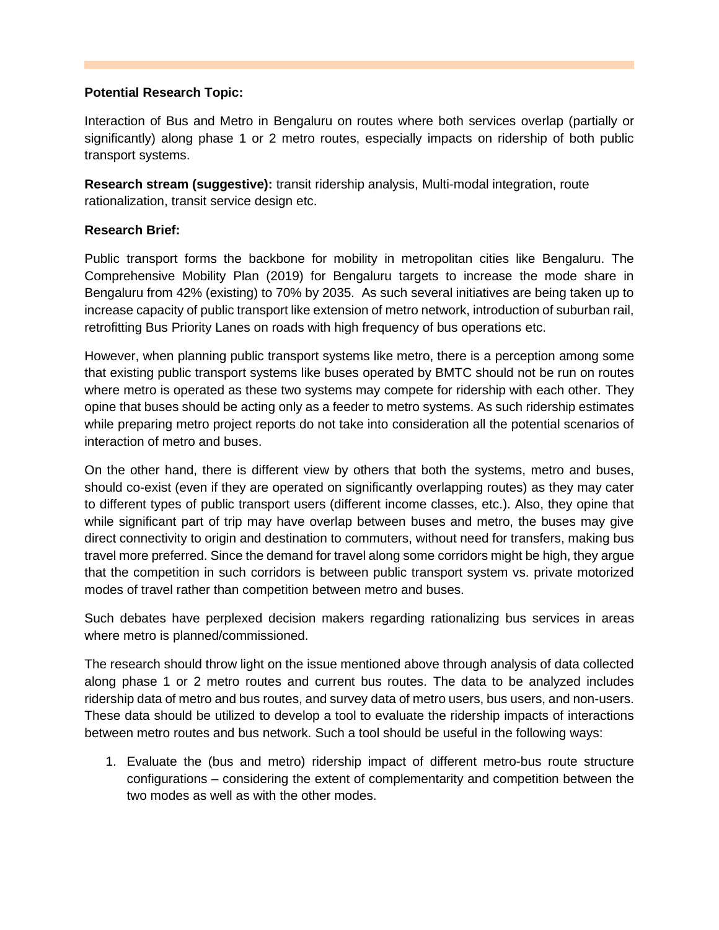## **Potential Research Topic:**

Interaction of Bus and Metro in Bengaluru on routes where both services overlap (partially or significantly) along phase 1 or 2 metro routes, especially impacts on ridership of both public transport systems.

**Research stream (suggestive):** transit ridership analysis, Multi-modal integration, route rationalization, transit service design etc.

## **Research Brief:**

Public transport forms the backbone for mobility in metropolitan cities like Bengaluru. The Comprehensive Mobility Plan (2019) for Bengaluru targets to increase the mode share in Bengaluru from 42% (existing) to 70% by 2035. As such several initiatives are being taken up to increase capacity of public transport like extension of metro network, introduction of suburban rail, retrofitting Bus Priority Lanes on roads with high frequency of bus operations etc.

However, when planning public transport systems like metro, there is a perception among some that existing public transport systems like buses operated by BMTC should not be run on routes where metro is operated as these two systems may compete for ridership with each other. They opine that buses should be acting only as a feeder to metro systems. As such ridership estimates while preparing metro project reports do not take into consideration all the potential scenarios of interaction of metro and buses.

On the other hand, there is different view by others that both the systems, metro and buses, should co-exist (even if they are operated on significantly overlapping routes) as they may cater to different types of public transport users (different income classes, etc.). Also, they opine that while significant part of trip may have overlap between buses and metro, the buses may give direct connectivity to origin and destination to commuters, without need for transfers, making bus travel more preferred. Since the demand for travel along some corridors might be high, they argue that the competition in such corridors is between public transport system vs. private motorized modes of travel rather than competition between metro and buses.

Such debates have perplexed decision makers regarding rationalizing bus services in areas where metro is planned/commissioned.

The research should throw light on the issue mentioned above through analysis of data collected along phase 1 or 2 metro routes and current bus routes. The data to be analyzed includes ridership data of metro and bus routes, and survey data of metro users, bus users, and non-users. These data should be utilized to develop a tool to evaluate the ridership impacts of interactions between metro routes and bus network. Such a tool should be useful in the following ways:

1. Evaluate the (bus and metro) ridership impact of different metro-bus route structure configurations – considering the extent of complementarity and competition between the two modes as well as with the other modes.